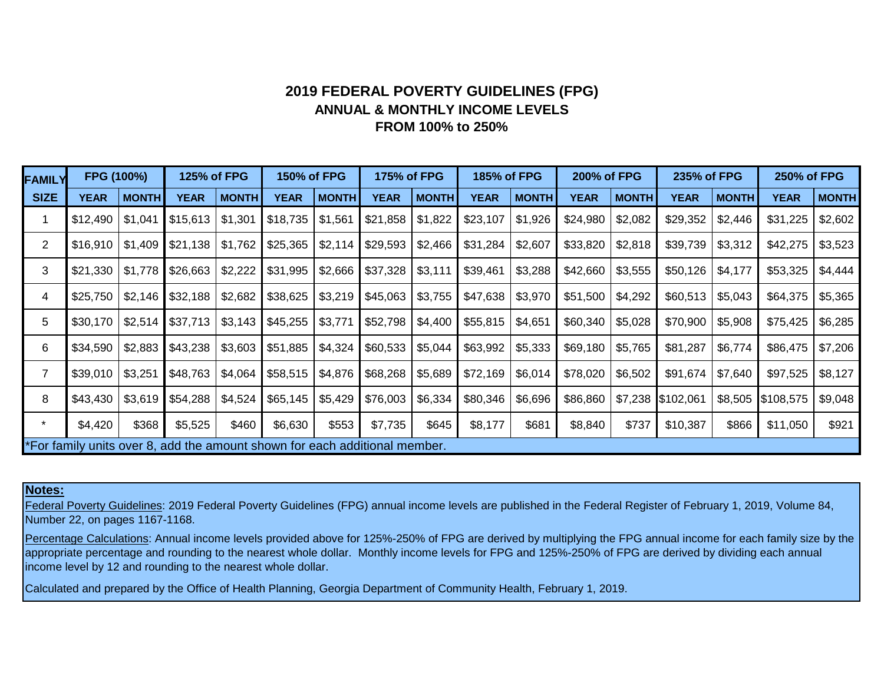# **ANNUAL & MONTHLY INCOME LEVELS FROM 100% to 250% 2019 FEDERAL POVERTY GUIDELINES (FPG)**

| <b>FAMILY</b>                                                             | FPG (100%)  |              | 125% of FPG |              | <b>150% of FPG</b> |              | 175% of FPG |              | <b>185% of FPG</b> |              | 200% of FPG |              | 235% of FPG |              | <b>250% of FPG</b> |              |
|---------------------------------------------------------------------------|-------------|--------------|-------------|--------------|--------------------|--------------|-------------|--------------|--------------------|--------------|-------------|--------------|-------------|--------------|--------------------|--------------|
| <b>SIZE</b>                                                               | <b>YEAR</b> | <b>MONTH</b> | <b>YEAR</b> | <b>MONTH</b> | YEAR               | <b>MONTH</b> | YEAR        | <b>MONTH</b> | <b>YEAR</b>        | <b>MONTH</b> | <b>YEAR</b> | <b>MONTH</b> | YEAR        | <b>MONTH</b> | <b>YEAR</b>        | <b>MONTH</b> |
|                                                                           | \$12,490    | \$1,041      | \$15,613    | \$1,301      | \$18,735           | \$1,561      | \$21,858    | \$1,822      | \$23,107           | \$1,926      | \$24,980    | \$2,082      | \$29,352    | \$2,446      | \$31,225           | \$2,602      |
| $\overline{2}$                                                            | \$16,910    | \$1,409      | \$21,138    | \$1,762      | \$25,365           | \$2,114      | \$29,593    | \$2,466      | \$31,284           | \$2,607      | \$33,820    | \$2,818      | \$39,739    | \$3,312      | \$42,275           | \$3,523      |
| 3                                                                         | \$21,330    | \$1,778      | \$26,663    | \$2,222      | \$31,995           | \$2,666      | \$37,328    | \$3,111      | \$39,461           | \$3,288      | \$42,660    | \$3,555      | \$50,126    | \$4,177      | \$53,325           | \$4,444      |
| 4                                                                         | \$25,750    | \$2,146      | \$32,188    | \$2,682      | \$38,625           | \$3,219      | \$45,063    | \$3,755      | \$47,638           | \$3,970      | \$51,500    | \$4,292      | \$60,513    | \$5,043      | \$64,375           | \$5,365      |
| 5                                                                         | \$30,170    | \$2,514      | \$37,713    | \$3,143      | \$45,255           | \$3,771      | \$52,798    | \$4,400      | \$55,815           | \$4,651      | \$60,340    | \$5,028      | \$70,900    | \$5,908      | \$75,425           | \$6,285      |
| 6                                                                         | \$34,590    | \$2,883      | \$43,238    | \$3,603      | \$51,885           | \$4,324      | \$60,533    | \$5,044      | \$63,992           | \$5,333      | \$69,180    | \$5,765      | \$81,287    | \$6,774      | \$86,475           | \$7,206      |
| 7                                                                         | \$39,010    | \$3,251      | \$48,763    | \$4,064      | \$58,515           | \$4,876      | \$68,268    | \$5,689      | \$72,169           | \$6,014      | \$78,020    | \$6,502      | \$91,674    | \$7,640      | \$97,525           | \$8,127      |
| 8                                                                         | \$43,430    | \$3,619      | \$54,288    | \$4,524      | \$65,145           | \$5,429      | \$76,003    | \$6,334      | \$80,346           | \$6,696      | \$86,860    | \$7,238      | \$102,061   | \$8,505      | \$108,575          | \$9,048      |
| $\star$                                                                   | \$4,420     | \$368        | \$5,525     | \$460        | \$6,630            | \$553        | \$7,735     | \$645        | \$8,177            | \$681        | \$8,840     | \$737        | \$10,387    | \$866        | \$11,050           | \$921        |
| For family units over 8, add the amount shown for each additional member. |             |              |             |              |                    |              |             |              |                    |              |             |              |             |              |                    |              |

## **Notes:**

Federal Poverty Guidelines: 2019 Federal Poverty Guidelines (FPG) annual income levels are published in the Federal Register of February 1, 2019, Volume 84, Number 22, on pages 1167-1168.

Percentage Calculations: Annual income levels provided above for 125%-250% of FPG are derived by multiplying the FPG annual income for each family size by the appropriate percentage and rounding to the nearest whole dollar. Monthly income levels for FPG and 125%-250% of FPG are derived by dividing each annual income level by 12 and rounding to the nearest whole dollar.

Calculated and prepared by the Office of Health Planning, Georgia Department of Community Health, February 1, 2019.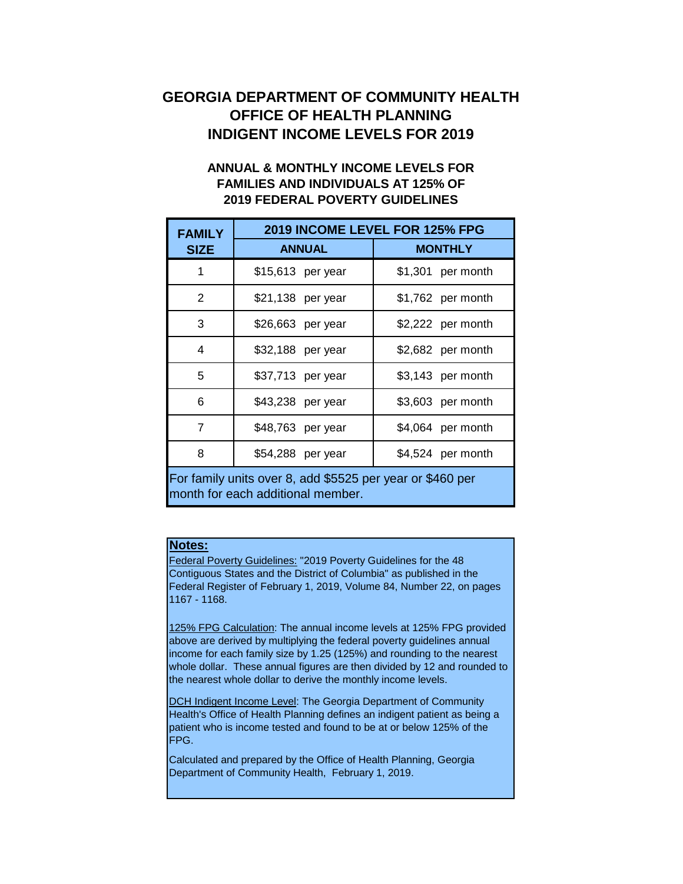# **GEORGIA DEPARTMENT OF COMMUNITY HEALTH OFFICE OF HEALTH PLANNING INDIGENT INCOME LEVELS FOR 2019**

# **ANNUAL & MONTHLY INCOME LEVELS FOR FAMILIES AND INDIVIDUALS AT 125% OF 2019 FEDERAL POVERTY GUIDELINES**

| <b>FAMILY</b>                                                                                  | 2019 INCOME LEVEL FOR 125% FPG |                    |  |  |  |  |  |
|------------------------------------------------------------------------------------------------|--------------------------------|--------------------|--|--|--|--|--|
| <b>SIZE</b>                                                                                    | <b>ANNUAL</b>                  | <b>MONTHLY</b>     |  |  |  |  |  |
| 1                                                                                              | \$15,613 per year              | $$1,301$ per month |  |  |  |  |  |
| 2                                                                                              | \$21,138 per year              | \$1,762 per month  |  |  |  |  |  |
| 3                                                                                              | \$26,663 per year              | \$2,222 per month  |  |  |  |  |  |
| 4                                                                                              | \$32,188 per year              | \$2,682 per month  |  |  |  |  |  |
| 5                                                                                              | \$37,713 per year              | \$3,143 per month  |  |  |  |  |  |
| 6                                                                                              | \$43,238 per year              | \$3,603 per month  |  |  |  |  |  |
| 7                                                                                              | \$48,763 per year              | \$4,064 per month  |  |  |  |  |  |
| 8                                                                                              | \$54,288 per year              | \$4,524 per month  |  |  |  |  |  |
| For family units over 8, add \$5525 per year or \$460 per<br>month for each additional member. |                                |                    |  |  |  |  |  |

# **Notes:**

Federal Poverty Guidelines: "2019 Poverty Guidelines for the 48 Contiguous States and the District of Columbia" as published in the Federal Register of February 1, 2019, Volume 84, Number 22, on pages 1167 - 1168.

125% FPG Calculation: The annual income levels at 125% FPG provided above are derived by multiplying the federal poverty guidelines annual income for each family size by 1.25 (125%) and rounding to the nearest whole dollar. These annual figures are then divided by 12 and rounded to the nearest whole dollar to derive the monthly income levels.

DCH Indigent Income Level: The Georgia Department of Community Health's Office of Health Planning defines an indigent patient as being a patient who is income tested and found to be at or below 125% of the FPG.

Calculated and prepared by the Office of Health Planning, Georgia Department of Community Health, February 1, 2019.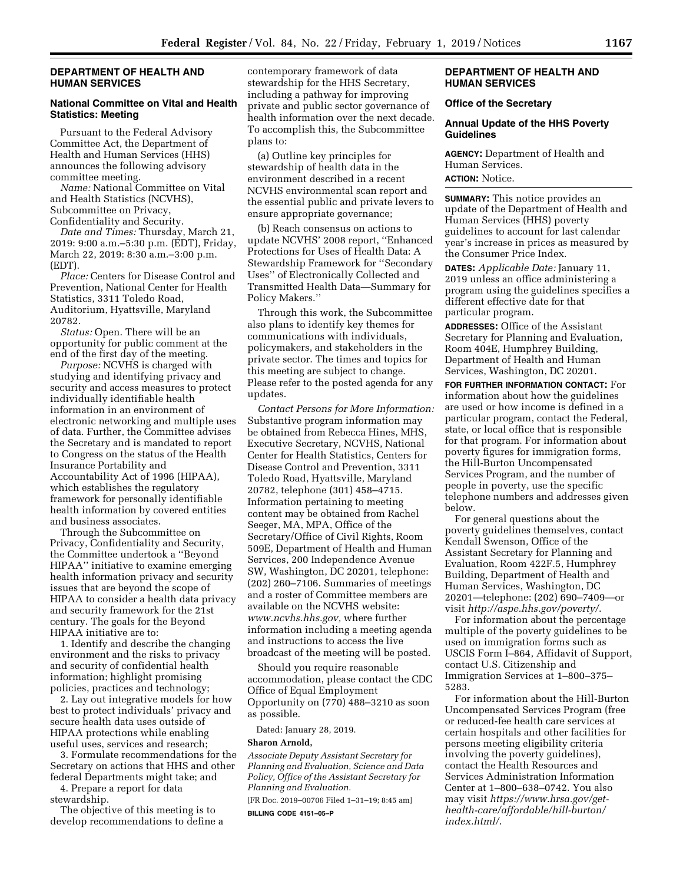#### **DEPARTMENT OF HEALTH AND HUMAN SERVICES**

#### **National Committee on Vital and Health Statistics: Meeting**

Pursuant to the Federal Advisory Committee Act, the Department of Health and Human Services (HHS) announces the following advisory committee meeting.

*Name:* National Committee on Vital and Health Statistics (NCVHS), Subcommittee on Privacy, Confidentiality and Security.

*Date and Times:* Thursday, March 21, 2019: 9:00 a.m.–5:30 p.m. (EDT), Friday, March 22, 2019: 8:30 a.m.–3:00 p.m. (EDT).

*Place:* Centers for Disease Control and Prevention, National Center for Health Statistics, 3311 Toledo Road, Auditorium, Hyattsville, Maryland 20782.

*Status:* Open. There will be an opportunity for public comment at the end of the first day of the meeting.

*Purpose:* NCVHS is charged with studying and identifying privacy and security and access measures to protect individually identifiable health information in an environment of electronic networking and multiple uses of data. Further, the Committee advises the Secretary and is mandated to report to Congress on the status of the Health Insurance Portability and Accountability Act of 1996 (HIPAA), which establishes the regulatory framework for personally identifiable health information by covered entities and business associates.

Through the Subcommittee on Privacy, Confidentiality and Security, the Committee undertook a ''Beyond HIPAA'' initiative to examine emerging health information privacy and security issues that are beyond the scope of HIPAA to consider a health data privacy and security framework for the 21st century. The goals for the Beyond HIPAA initiative are to:

1. Identify and describe the changing environment and the risks to privacy and security of confidential health information; highlight promising policies, practices and technology;

2. Lay out integrative models for how best to protect individuals' privacy and secure health data uses outside of HIPAA protections while enabling useful uses, services and research;

3. Formulate recommendations for the Secretary on actions that HHS and other federal Departments might take; and

4. Prepare a report for data stewardship.

The objective of this meeting is to develop recommendations to define a contemporary framework of data stewardship for the HHS Secretary, including a pathway for improving private and public sector governance of health information over the next decade. To accomplish this, the Subcommittee plans to:

(a) Outline key principles for stewardship of health data in the environment described in a recent NCVHS environmental scan report and the essential public and private levers to ensure appropriate governance;

(b) Reach consensus on actions to update NCVHS' 2008 report, ''Enhanced Protections for Uses of Health Data: A Stewardship Framework for ''Secondary Uses'' of Electronically Collected and Transmitted Health Data—Summary for Policy Makers.''

Through this work, the Subcommittee also plans to identify key themes for communications with individuals, policymakers, and stakeholders in the private sector. The times and topics for this meeting are subject to change. Please refer to the posted agenda for any updates.

*Contact Persons for More Information:*  Substantive program information may be obtained from Rebecca Hines, MHS, Executive Secretary, NCVHS, National Center for Health Statistics, Centers for Disease Control and Prevention, 3311 Toledo Road, Hyattsville, Maryland 20782, telephone (301) 458–4715. Information pertaining to meeting content may be obtained from Rachel Seeger, MA, MPA, Office of the Secretary/Office of Civil Rights, Room 509E, Department of Health and Human Services, 200 Independence Avenue SW, Washington, DC 20201, telephone: (202) 260–7106. Summaries of meetings and a roster of Committee members are available on the NCVHS website: *[www.ncvhs.hhs.gov,](http://www.ncvhs.hhs.gov)* where further information including a meeting agenda and instructions to access the live broadcast of the meeting will be posted.

Should you require reasonable accommodation, please contact the CDC Office of Equal Employment Opportunity on (770) 488–3210 as soon as possible.

Dated: January 28, 2019.

#### **Sharon Arnold,**

*Associate Deputy Assistant Secretary for Planning and Evaluation, Science and Data Policy, Office of the Assistant Secretary for Planning and Evaluation.* 

[FR Doc. 2019–00706 Filed 1–31–19; 8:45 am]

**BILLING CODE 4151–05–P** 

#### **DEPARTMENT OF HEALTH AND HUMAN SERVICES**

#### **Office of the Secretary**

#### **Annual Update of the HHS Poverty Guidelines**

**AGENCY:** Department of Health and Human Services. **ACTION:** Notice.

**SUMMARY:** This notice provides an update of the Department of Health and Human Services (HHS) poverty guidelines to account for last calendar year's increase in prices as measured by

the Consumer Price Index.

**DATES:** *Applicable Date:* January 11, 2019 unless an office administering a program using the guidelines specifies a different effective date for that particular program.

**ADDRESSES:** Office of the Assistant Secretary for Planning and Evaluation, Room 404E, Humphrey Building, Department of Health and Human Services, Washington, DC 20201.

**FOR FURTHER INFORMATION CONTACT:** For information about how the guidelines are used or how income is defined in a particular program, contact the Federal, state, or local office that is responsible for that program. For information about poverty figures for immigration forms, the Hill-Burton Uncompensated Services Program, and the number of people in poverty, use the specific telephone numbers and addresses given below.

For general questions about the poverty guidelines themselves, contact Kendall Swenson, Office of the Assistant Secretary for Planning and Evaluation, Room 422F.5, Humphrey Building, Department of Health and Human Services, Washington, DC 20201—telephone: (202) 690–7409—or visit *<http://aspe.hhs.gov/poverty/>*.

For information about the percentage multiple of the poverty guidelines to be used on immigration forms such as USCIS Form I–864, Affidavit of Support, contact U.S. Citizenship and Immigration Services at 1–800–375– 5283.

For information about the Hill-Burton Uncompensated Services Program (free or reduced-fee health care services at certain hospitals and other facilities for persons meeting eligibility criteria involving the poverty guidelines), contact the Health Resources and Services Administration Information Center at 1–800–638–0742. You also may visit *[https://www.hrsa.gov/get](https://www.hrsa.gov/get-health-care/affordable/hill-burton/index.html/)[health-care/affordable/hill-burton/](https://www.hrsa.gov/get-health-care/affordable/hill-burton/index.html/) [index.html/](https://www.hrsa.gov/get-health-care/affordable/hill-burton/index.html/)*.